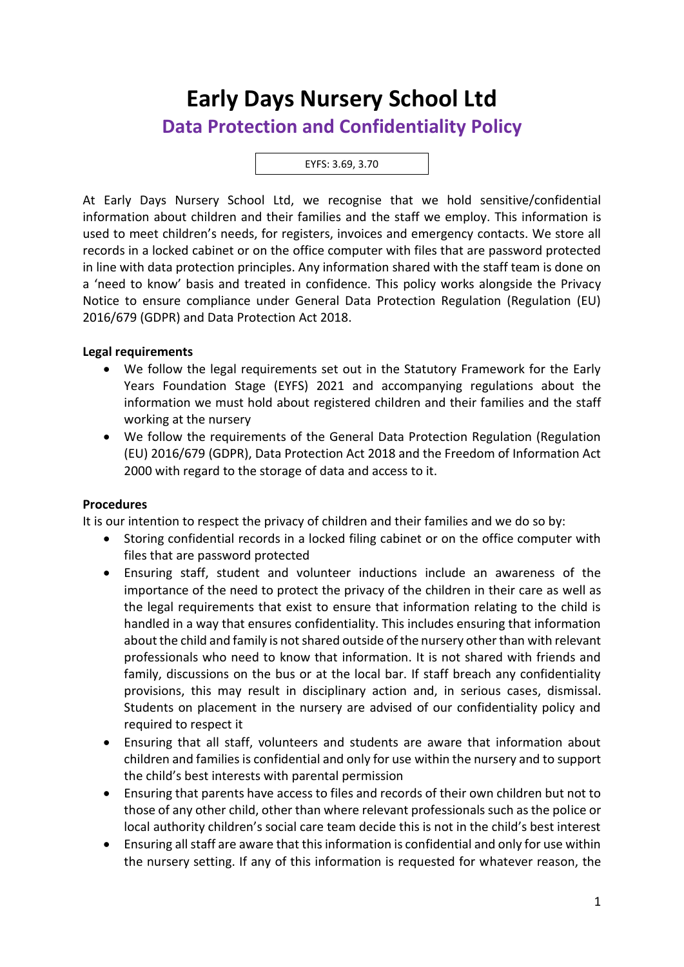# **Early Days Nursery School Ltd Data Protection and Confidentiality Policy**

#### EYFS: 3.69, 3.70

At Early Days Nursery School Ltd, we recognise that we hold sensitive/confidential information about children and their families and the staff we employ. This information is used to meet children's needs, for registers, invoices and emergency contacts. We store all records in a locked cabinet or on the office computer with files that are password protected in line with data protection principles. Any information shared with the staff team is done on a 'need to know' basis and treated in confidence. This policy works alongside the Privacy Notice to ensure compliance under General Data Protection Regulation (Regulation (EU) 2016/679 (GDPR) and Data Protection Act 2018.

### **Legal requirements**

- We follow the legal requirements set out in the Statutory Framework for the Early Years Foundation Stage (EYFS) 2021 and accompanying regulations about the information we must hold about registered children and their families and the staff working at the nursery
- We follow the requirements of the General Data Protection Regulation (Regulation (EU) 2016/679 (GDPR), Data Protection Act 2018 and the Freedom of Information Act 2000 with regard to the storage of data and access to it.

### **Procedures**

It is our intention to respect the privacy of children and their families and we do so by:

- Storing confidential records in a locked filing cabinet or on the office computer with files that are password protected
- Ensuring staff, student and volunteer inductions include an awareness of the importance of the need to protect the privacy of the children in their care as well as the legal requirements that exist to ensure that information relating to the child is handled in a way that ensures confidentiality. This includes ensuring that information about the child and family is not shared outside of the nursery other than with relevant professionals who need to know that information. It is not shared with friends and family, discussions on the bus or at the local bar. If staff breach any confidentiality provisions, this may result in disciplinary action and, in serious cases, dismissal. Students on placement in the nursery are advised of our confidentiality policy and required to respect it
- Ensuring that all staff, volunteers and students are aware that information about children and families is confidential and only for use within the nursery and to support the child's best interests with parental permission
- Ensuring that parents have access to files and records of their own children but not to those of any other child, other than where relevant professionals such as the police or local authority children's social care team decide this is not in the child's best interest
- Ensuring all staff are aware that this information is confidential and only for use within the nursery setting. If any of this information is requested for whatever reason, the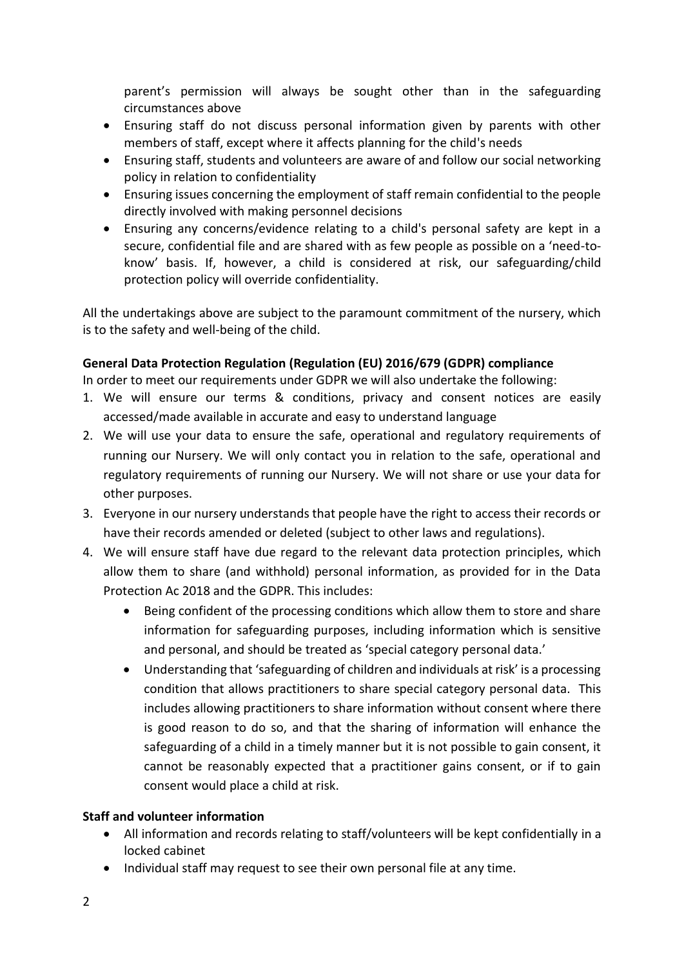parent's permission will always be sought other than in the safeguarding circumstances above

- Ensuring staff do not discuss personal information given by parents with other members of staff, except where it affects planning for the child's needs
- Ensuring staff, students and volunteers are aware of and follow our social networking policy in relation to confidentiality
- Ensuring issues concerning the employment of staff remain confidential to the people directly involved with making personnel decisions
- Ensuring any concerns/evidence relating to a child's personal safety are kept in a secure, confidential file and are shared with as few people as possible on a 'need-toknow' basis. If, however, a child is considered at risk, our safeguarding/child protection policy will override confidentiality.

All the undertakings above are subject to the paramount commitment of the nursery, which is to the safety and well-being of the child.

## **General Data Protection Regulation (Regulation (EU) 2016/679 (GDPR) compliance**

In order to meet our requirements under GDPR we will also undertake the following:

- 1. We will ensure our terms & conditions, privacy and consent notices are easily accessed/made available in accurate and easy to understand language
- 2. We will use your data to ensure the safe, operational and regulatory requirements of running our Nursery. We will only contact you in relation to the safe, operational and regulatory requirements of running our Nursery. We will not share or use your data for other purposes.
- 3. Everyone in our nursery understands that people have the right to access their records or have their records amended or deleted (subject to other laws and regulations).
- 4. We will ensure staff have due regard to the relevant data protection principles, which allow them to share (and withhold) personal information, as provided for in the Data Protection Ac 2018 and the GDPR. This includes:
	- Being confident of the processing conditions which allow them to store and share information for safeguarding purposes, including information which is sensitive and personal, and should be treated as 'special category personal data.'
	- Understanding that 'safeguarding of children and individuals at risk' is a processing condition that allows practitioners to share special category personal data. This includes allowing practitioners to share information without consent where there is good reason to do so, and that the sharing of information will enhance the safeguarding of a child in a timely manner but it is not possible to gain consent, it cannot be reasonably expected that a practitioner gains consent, or if to gain consent would place a child at risk.

# **Staff and volunteer information**

- All information and records relating to staff/volunteers will be kept confidentially in a locked cabinet
- Individual staff may request to see their own personal file at any time.